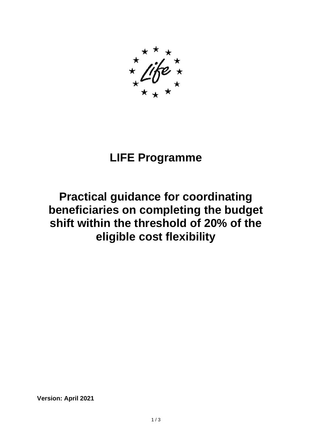## **LIFE Programme**

## **Practical guidance for coordinating beneficiaries on completing the budget shift within the threshold of 20% of the eligible cost flexibility**

**Version: April 2021**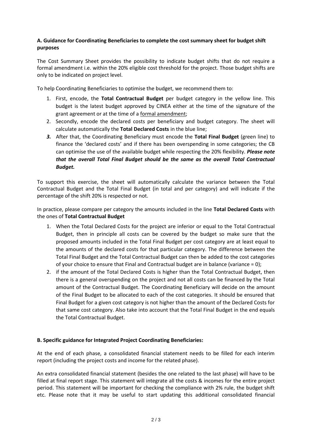## **A. Guidance for Coordinating Beneficiaries to complete the cost summary sheet for budget shift purposes**

The Cost Summary Sheet provides the possibility to indicate budget shifts that do not require a formal amendment i.e. within the 20% eligible cost threshold for the project. Those budget shifts are only to be indicated on project level.

To help Coordinating Beneficiaries to optimise the budget, we recommend them to:

- 1. First, encode, the **Total Contractual Budget** per budget category in the yellow line. This budget is the latest budget approved by CINEA either at the time of the signature of the grant agreement or at the time of a formal amendment;
- 2. Secondly, encode the declared costs per beneficiary and budget category. The sheet will calculate automatically the **Total Declared Costs** in the blue line;
- *3.* After that, the Coordinating Beneficiary must encode the **Total Final Budget** (green line) to finance the 'declared costs' and if there has been overspending in some categories; the CB can optimise the use of the available budget while respecting the 20% flexibility. *Please note that the overall Total Final Budget should be the same as the overall Total Contractual Budget.*

To support this exercise, the sheet will automatically calculate the variance between the Total Contractual Budget and the Total Final Budget (in total and per category) and will indicate if the percentage of the shift 20% is respected or not.

In practice, please compare per category the amounts included in the line **Total Declared Costs** with the ones of **Total Contractual Budget**

- 1. When the Total Declared Costs for the project are inferior or equal to the Total Contractual Budget, then in principle all costs can be covered by the budget so make sure that the proposed amounts included in the Total Final Budget per cost category are at least equal to the amounts of the declared costs for that particular category. The difference between the Total Final Budget and the Total Contractual Budget can then be added to the cost categories of your choice to ensure that Final and Contractual budget are in balance (variance  $= 0$ );
- 2. if the amount of the Total Declared Costs is higher than the Total Contractual Budget, then there is a general overspending on the project and not all costs can be financed by the Total amount of the Contractual Budget. The Coordinating Beneficiary will decide on the amount of the Final Budget to be allocated to each of the cost categories. It should be ensured that Final Budget for a given cost category is not higher than the amount of the Declared Costs for that same cost category. Also take into account that the Total Final Budget in the end equals the Total Contractual Budget.

## **B. Specific guidance for Integrated Project Coordinating Beneficiaries:**

At the end of each phase, a consolidated financial statement needs to be filled for each interim report (including the project costs and income for the related phase).

An extra consolidated financial statement (besides the one related to the last phase) will have to be filled at final report stage. This statement will integrate all the costs & incomes for the entire project period. This statement will be important for checking the compliance with 2% rule, the budget shift etc. Please note that it may be useful to start updating this additional consolidated financial